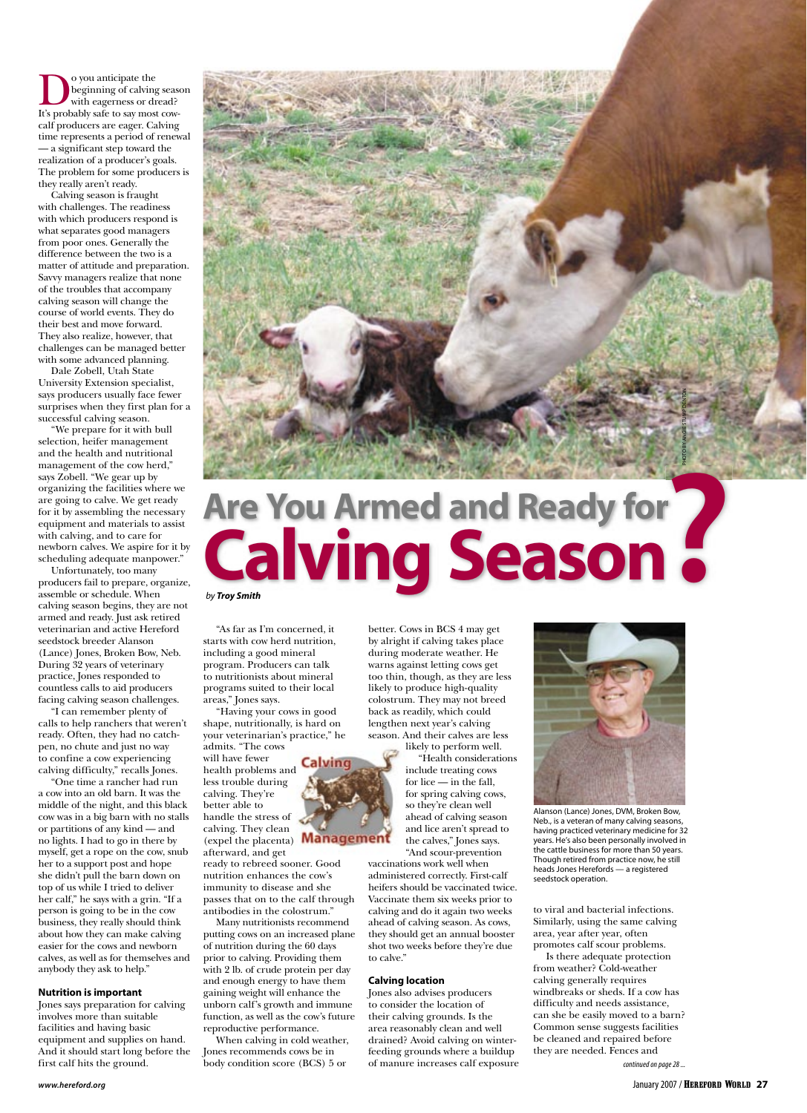**D**o you anticipate the<br>
with eagerness or dread?<br>
It's probably safe to say most cowbeginning of calving season with eagerness or dread? calf producers are eager. Calving time represents a period of renewal — a significant step toward the realization of a producer's goals. The problem for some producers is they really aren't ready.

Calving season is fraught with challenges. The readiness with which producers respond is what separates good managers from poor ones. Generally the difference between the two is a matter of attitude and preparation. Savvy managers realize that none of the troubles that accompany calving season will change the course of world events. They do their best and move forward. They also realize, however, that challenges can be managed better with some advanced planning.

Dale Zobell, Utah State University Extension specialist, says producers usually face fewer surprises when they first plan for a successful calving season.

"We prepare for it with bull selection, heifer management and the health and nutritional management of the cow herd," says Zobell. "We gear up by organizing the facilities where we are going to calve. We get ready for it by assembling the necessary equipment and materials to assist with calving, and to care for newborn calves. We aspire for it by scheduling adequate manpower."

Unfortunately, too many producers fail to prepare, organize, assemble or schedule. When calving season begins, they are not armed and ready. Just ask retired veterinarian and active Hereford seedstock breeder Alanson (Lance) Jones, Broken Bow, Neb. During 32 years of veterinary practice, Jones responded to countless calls to aid producers facing calving season challenges.

"I can remember plenty of calls to help ranchers that weren't ready. Often, they had no catchpen, no chute and just no way to confine a cow experiencing calving difficulty," recalls Jones.

"One time a rancher had run a cow into an old barn. It was the middle of the night, and this black cow was in a big barn with no stalls or partitions of any kind — and no lights. I had to go in there by myself, get a rope on the cow, snub her to a support post and hope she didn't pull the barn down on top of us while I tried to deliver her calf," he says with a grin. "If a person is going to be in the cow business, they really should think about how they can make calving easier for the cows and newborn calves, as well as for themselves and anybody they ask to help."

### **Nutrition is important**

Jones says preparation for calving involves more than suitable facilities and having basic equipment and supplies on hand. And it should start long before the first calf hits the ground.



# **Are You Armed and Ready for Calving Season for ?**

by **Troy Smith**

"As far as I'm concerned, it starts with cow herd nutrition, including a good mineral program. Producers can talk to nutritionists about mineral programs suited to their local areas," Jones says.

"Having your cows in good shape, nutritionally, is hard on your veterinarian's practice," he admits. "The cows

Calvin

will have fewer health problems and less trouble during calving. They're better able to handle the stress of calving. They clean (expel the placenta) **Management** 

afterward, and get ready to rebreed sooner. Good nutrition enhances the cow's immunity to disease and she passes that on to the calf through antibodies in the colostrum.'

Many nutritionists recommend putting cows on an increased plane of nutrition during the 60 days prior to calving. Providing them with 2 lb. of crude protein per day and enough energy to have them gaining weight will enhance the unborn calf's growth and immune function, as well as the cow's future reproductive performance.

When calving in cold weather, Jones recommends cows be in body condition score (BCS) 5 or

better. Cows in BCS 4 may get by alright if calving takes place during moderate weather. He warns against letting cows get too thin, though, as they are less likely to produce high-quality colostrum. They may not breed back as readily, which could lengthen next year's calving season. And their calves are less

likely to perform well. "Health considerations include treating cows for lice — in the fall, for spring calving cows, so they're clean well ahead of calving season and lice aren't spread to the calves," Jones says. "And scour-prevention

vaccinations work well when administered correctly. First-calf heifers should be vaccinated twice. Vaccinate them six weeks prior to calving and do it again two weeks ahead of calving season. As cows, they should get an annual booster shot two weeks before they're due to calve."

## **Calving location**

Jones also advises producers to consider the location of their calving grounds. Is the area reasonably clean and well drained? Avoid calving on winterfeeding grounds where a buildup of manure increases calf exposure



Alanson (Lance) Jones, DVM, Broken Bow, Neb., is a veteran of many calving seasons, having practiced veterinary medicine for 32 years. He's also been personally involved in the cattle business for more than 50 years. Though retired from practice now, he still heads Jones Herefords — a registered seedstock operation.

to viral and bacterial infections. Similarly, using the same calving area, year after year, often promotes calf scour problems.

Is there adequate protection from weather? Cold-weather calving generally requires windbreaks or sheds. If a cow has difficulty and needs assistance, can she be easily moved to a barn? Common sense suggests facilities be cleaned and repaired before they are needed. Fences and